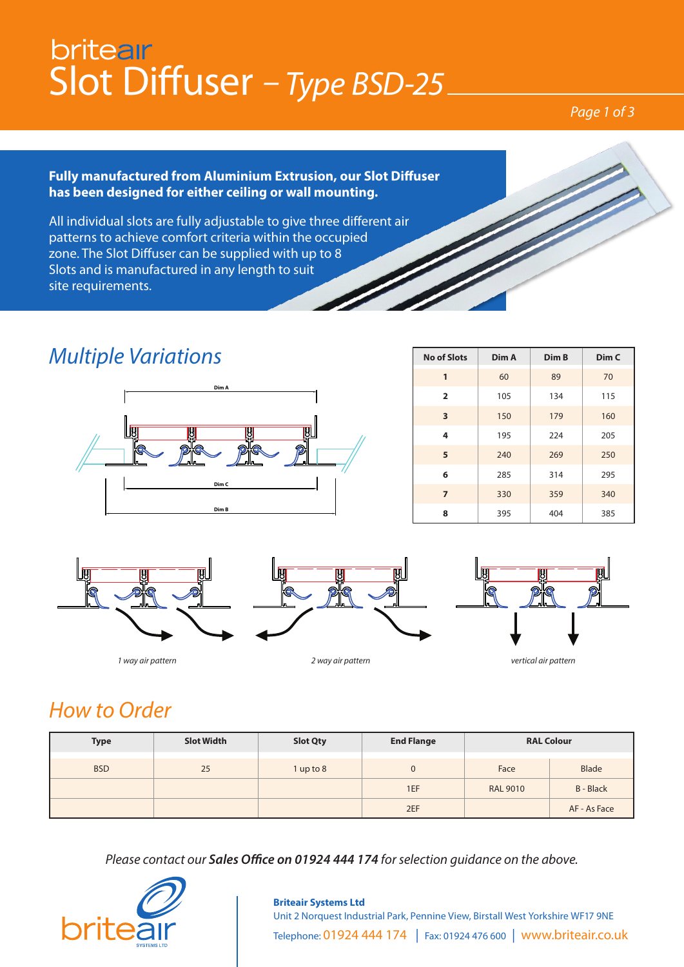## britear Slot Diffuser *– Type BSD-25*

#### *Page 1 of 3*

#### **Fully manufactured from Aluminium Extrusion, our Slot Diffuser has been designed for either ceiling or wall mounting.**

All individual slots are fully adjustable to give three different air patterns to achieve comfort criteria within the occupied zone. The Slot Diffuser can be supplied with up to 8 Slots and is manufactured in any length to suit site requirements.

### *Multiple Variations*



| <b>No of Slots</b> | Dim A | Dim B | Dim C |
|--------------------|-------|-------|-------|
| 1                  | 60    | 89    | 70    |
| $\overline{2}$     | 105   | 134   | 115   |
| 3                  | 150   | 179   | 160   |
| 4                  | 195   | 224   | 205   |
| 5                  | 240   | 269   | 250   |
| 6                  | 285   | 314   | 295   |
| $\overline{7}$     | 330   | 359   | 340   |
| 8                  | 395   | 404   | 385   |

**Dim C**



## *How to Order*

| <b>Type</b> | <b>Slot Width</b> | <b>Slot Qty</b> | <b>End Flange</b> | <b>RAL Colour</b> |                  |
|-------------|-------------------|-----------------|-------------------|-------------------|------------------|
| <b>BSD</b>  | 25                | $1$ up to $8$   | $\mathbf 0$       | Face              | <b>Blade</b>     |
|             |                   |                 | 1EF               | <b>RAL 9010</b>   | <b>B</b> - Black |
|             |                   |                 | 2EF               |                   | AF - As Face     |

*Please contact our Sales Office on 01924 444 174 for selection guidance on the above.*



#### **Briteair Systems Ltd** Unit 2 Norquest Industrial Park, Pennine View, Birstall West Yorkshire WF17 9NE Telephone: 01924 444 174 | Fax: 01924 476 600 | www.briteair.co.uk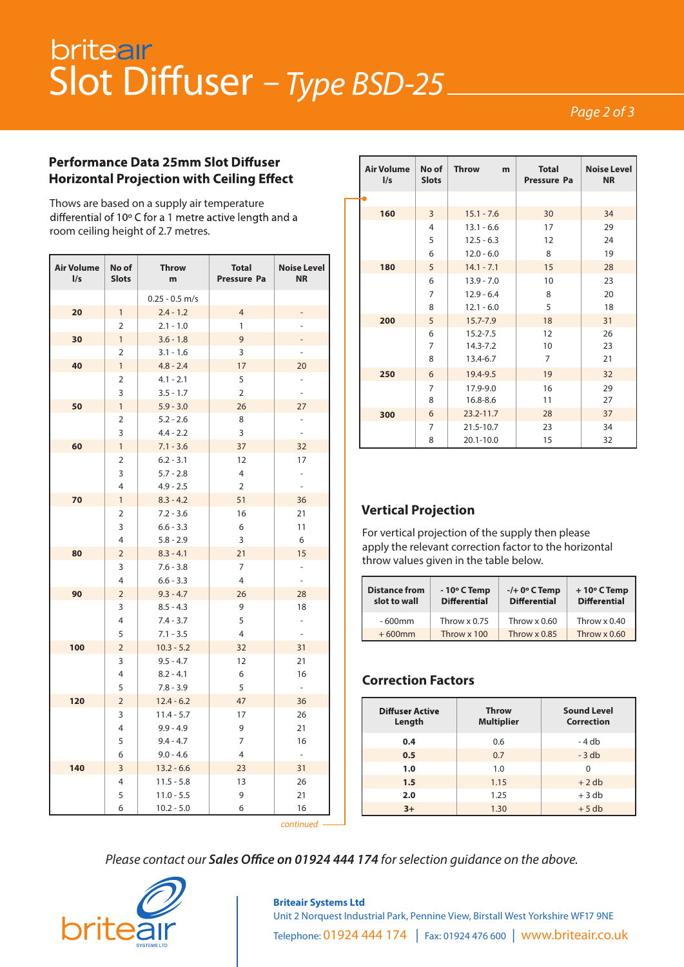# Slot Diffuser - Type BSD-25

#### *Page 2 of 3*

#### **Performance Data 25mm Slot Diffuser Horizontal Projection with Ceiling Effect**

Thows are based on a supply air temperature differential of 10° C for a 1 metre active length and a room ceiling height of 2.7 metres.

| <b>Air Volume</b><br>$\frac{1}{s}$ | No of<br><b>Slots</b> | <b>Throw</b><br>m.         | <b>Total</b><br>Pressure Pa | <b>Noise Level</b><br><b>NR</b> |
|------------------------------------|-----------------------|----------------------------|-----------------------------|---------------------------------|
|                                    |                       | $0.25 - 0.5$ m/s           |                             |                                 |
| 20                                 | $\mathbf{1}$          | $2.4 - 1.2$                | $\overline{4}$              |                                 |
|                                    | 2                     | $2.1 - 1.0$                | $\mathbf{1}$                | $\overline{\phantom{0}}$        |
| 30                                 | $\mathbf{1}$          | $3.6 - 1.8$                | 9                           |                                 |
|                                    | $\overline{2}$        | $3.1 - 1.6$                | 3                           | $\overline{\phantom{a}}$        |
| 40                                 | $\mathbf{1}$          | $4.8 - 2.4$                | 17                          | 20                              |
|                                    | $\overline{2}$        | $4.1 - 2.1$                | 5                           | $\overline{\phantom{0}}$        |
|                                    | 3                     | $3.5 - 1.7$                | $\overline{2}$              | $\overline{a}$                  |
| 50                                 | $\mathbf{1}$          | $5.9 - 3.0$                | 26                          | 27                              |
|                                    | $\overline{2}$        | $5.2 - 2.6$                | 8                           | -                               |
|                                    | 3                     | $4.4 - 2.2$                | 3                           | $\overline{\phantom{a}}$        |
| 60                                 | $\mathbf{1}$          | $7.1 - 3.6$                | 37                          | 32                              |
|                                    | 2                     | $6.2 - 3.1$                | 12                          | 17                              |
|                                    | 3                     | $5.7 - 2.8$                | $\overline{4}$              | $\overline{\phantom{a}}$        |
|                                    | $\overline{4}$        | $4.9 - 2.5$                | $\overline{2}$              | $\overline{\phantom{a}}$        |
| 70                                 | $\mathbf{1}$          | $8.3 - 4.2$                | 51                          | 36                              |
|                                    | $\overline{2}$        | $7.2 - 3.6$                | 16                          | 21                              |
|                                    | 3                     | $6.6 - 3.3$                | 6                           | 11                              |
|                                    | $\overline{4}$        | $5.8 - 2.9$                | 3                           | 6                               |
| 80                                 | $\overline{2}$        | $8.3 - 4.1$                | 21                          | 15                              |
|                                    | 3                     | $7.6 - 3.8$                | 7                           | $\overline{\phantom{a}}$        |
|                                    | 4                     | $6.6 - 3.3$                | $\overline{4}$              | $\overline{a}$                  |
| 90                                 | $\overline{2}$        | $9.3 - 4.7$                | 26                          | 28                              |
|                                    | 3                     | $8.5 - 4.3$                | 9                           | 18                              |
|                                    | 4                     | $7.4 - 3.7$                | 5                           | $\blacksquare$                  |
|                                    | 5                     | $7.1 - 3.5$                | $\overline{4}$              | $\overline{\phantom{a}}$        |
| 100                                | $\overline{2}$        | $10.3 - 5.2$               | 32                          | 31                              |
|                                    | 3                     | $9.5 - 4.7$                | 12                          | 21                              |
|                                    | 4                     | $8.2 - 4.1$                | 6                           | 16                              |
|                                    | 5                     | $7.8 - 3.9$                | 5                           | $\sim$                          |
| 120                                | $\overline{2}$<br>3   | $12.4 - 6.2$               | 47<br>17                    | 36                              |
|                                    | 4                     | $11.4 - 5.7$               | 9                           | 26                              |
|                                    | 5                     | $9.9 - 4.9$<br>$9.4 - 4.7$ | $\overline{7}$              | 21<br>16                        |
|                                    | 6                     | $9.0 - 4.6$                | 4                           | $\overline{\phantom{a}}$        |
| 140                                | 3                     | $13.2 - 6.6$               | 23                          | 31                              |
|                                    | 4                     | $11.5 - 5.8$               | 13                          | 26                              |
|                                    | 5                     | $11.0 - 5.5$               | 9                           | 21                              |
|                                    | 6                     | $10.2 - 5.0$               | 6                           | 16                              |

| <b>Air Volume</b><br>I/s | No of<br><b>Slots</b> | <b>Throw</b><br>m | <b>Total</b><br>Pressure Pa | <b>Noise Level</b><br><b>NR</b> |
|--------------------------|-----------------------|-------------------|-----------------------------|---------------------------------|
|                          |                       |                   |                             |                                 |
| 160                      | 3                     | $15.1 - 7.6$      | 30                          | 34                              |
|                          | 4                     | $13.1 - 6.6$      | 17                          | 29                              |
|                          | 5                     | $12.5 - 6.3$      | 12                          | 24                              |
|                          | 6                     | $12.0 - 6.0$      | 8                           | 19                              |
| 180                      | 5                     | $14.1 - 7.1$      | 15                          | 28                              |
|                          | 6                     | $13.9 - 7.0$      | 10                          | 23                              |
|                          | 7                     | $12.9 - 6.4$      | 8                           | 20                              |
|                          | 8                     | $12.1 - 6.0$      | 5                           | 18                              |
| 200                      | 5                     | $15.7 - 7.9$      | 18                          | 31                              |
|                          | 6                     | $15.2 - 7.5$      | 12                          | 26                              |
|                          | 7                     | $14.3 - 7.2$      | 10                          | 23                              |
|                          | 8                     | 13.4-6.7          | $\overline{7}$              | 21                              |
| 250                      | 6                     | 19.4-9.5          | 19                          | 32                              |
|                          | 7                     | 17.9-9.0          | 16                          | 29                              |
|                          | 8                     | 16.8-8.6          | 11                          | 27                              |
| 300                      | 6                     | $23.2 - 11.7$     | 28                          | 37                              |
|                          | 7                     | 21.5-10.7         | 23                          | 34                              |
|                          | 8                     | $20.1 - 10.0$     | 15                          | 32                              |

#### **Vertical Projection**

For vertical projection of the supply then please apply the relevant correction factor to the horizontal throw values given in the table below.

| <b>Distance from</b><br>slot to wall | $-10^{\circ}$ C Temp<br><b>Differential</b> | $-/+$ 0 $\circ$ C Temp<br><b>Differential</b> | $+10^{\circ}$ C Temp<br><b>Differential</b> |
|--------------------------------------|---------------------------------------------|-----------------------------------------------|---------------------------------------------|
| $-600$ mm                            | Throw $\times 0.75$                         | Throw $\times 0.60$                           | Throw $\times 0.40$                         |
| $+600$ mm                            | Throw x 100                                 | Throw $\times$ 0.85                           | Throw $\times 0.60$                         |

#### **Correction Factors**

| <b>Diffuser Active</b><br>Length | <b>Throw</b><br><b>Multiplier</b> | <b>Sound Level</b><br>Correction |
|----------------------------------|-----------------------------------|----------------------------------|
| 0.4                              | 0.6                               | -4 db                            |
| 0.5                              | 0.7                               | $-3$ db                          |
| 1.0                              | 1.0                               | 0                                |
| 1.5                              | 1.15                              | $+2$ db                          |
| 2.0                              | 1.25                              | $+3$ db                          |
| $3+$                             | 1.30                              | $+5$ db                          |

*continued*

*Please contact our Sales Office on 01924 444 174 for selection guidance on the above.*



#### **Briteair Systems Ltd Sovereign Air Movement Limited Diteali Systems Etd**<br>Unit 2 Norquest Industrial Park, Pennine View, Birstall West Yorkshire WF17 9NE Telephone: 01924 444 174 | Fax: 01924 476 600 | www.briteair.co.uk